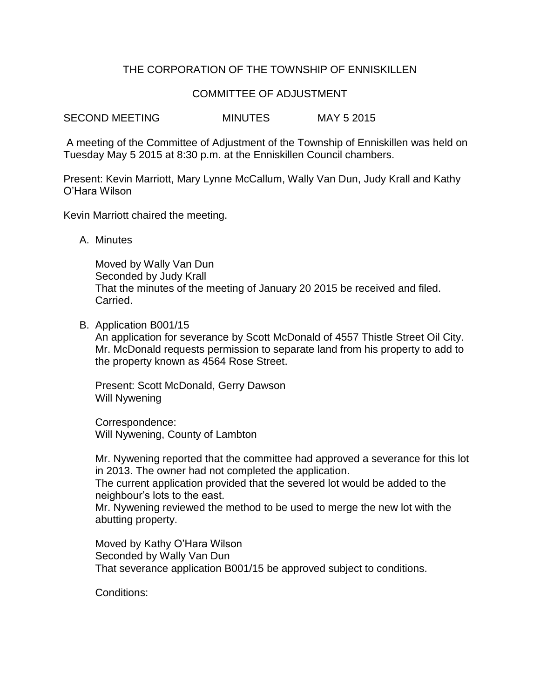## THE CORPORATION OF THE TOWNSHIP OF ENNISKILLEN

## COMMITTEE OF ADJUSTMENT

SECOND MEETING MINUTES MAY 5 2015

A meeting of the Committee of Adjustment of the Township of Enniskillen was held on Tuesday May 5 2015 at 8:30 p.m. at the Enniskillen Council chambers.

Present: Kevin Marriott, Mary Lynne McCallum, Wally Van Dun, Judy Krall and Kathy O'Hara Wilson

Kevin Marriott chaired the meeting.

A. Minutes

Moved by Wally Van Dun Seconded by Judy Krall That the minutes of the meeting of January 20 2015 be received and filed. Carried.

B. Application B001/15

An application for severance by Scott McDonald of 4557 Thistle Street Oil City. Mr. McDonald requests permission to separate land from his property to add to the property known as 4564 Rose Street.

Present: Scott McDonald, Gerry Dawson Will Nywening

Correspondence: Will Nywening, County of Lambton

Mr. Nywening reported that the committee had approved a severance for this lot in 2013. The owner had not completed the application.

The current application provided that the severed lot would be added to the neighbour's lots to the east.

Mr. Nywening reviewed the method to be used to merge the new lot with the abutting property.

Moved by Kathy O'Hara Wilson Seconded by Wally Van Dun That severance application B001/15 be approved subject to conditions.

Conditions: